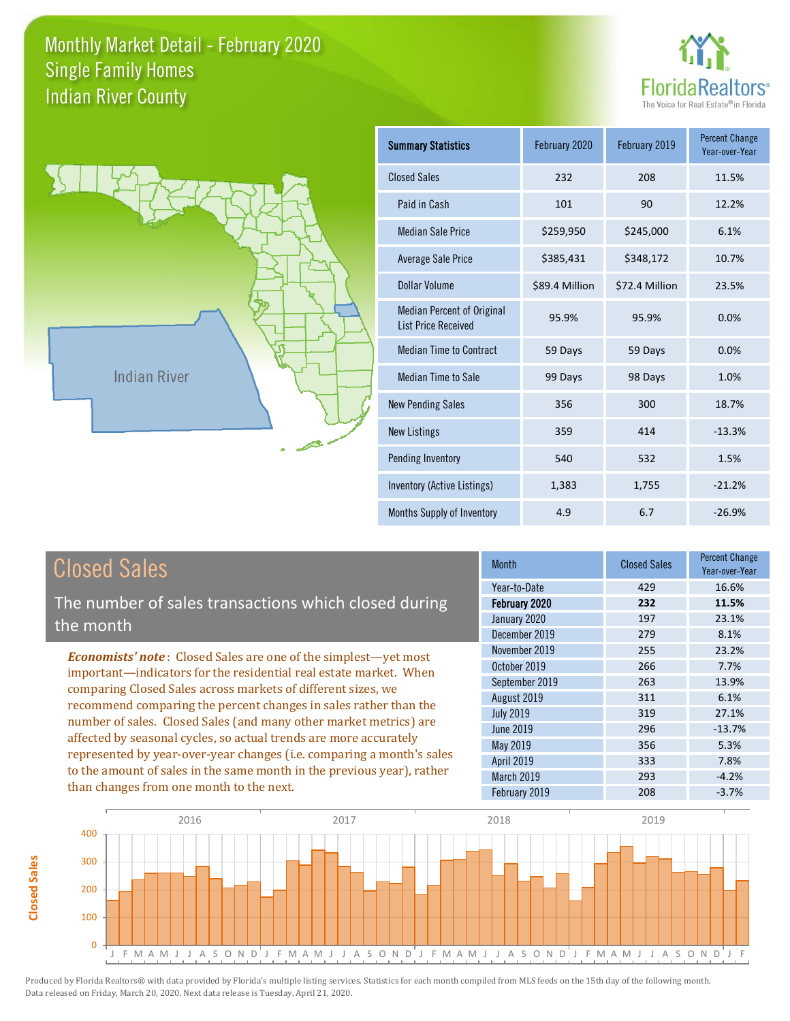



**Closed Sales**

**Closed Sales** 

| <b>Summary Statistics</b>                                       | February 2020  | February 2019  | <b>Percent Change</b><br>Year-over-Year |
|-----------------------------------------------------------------|----------------|----------------|-----------------------------------------|
| <b>Closed Sales</b>                                             | 232            | 208            | 11.5%                                   |
| Paid in Cash                                                    | 101            | 90             | 12.2%                                   |
| <b>Median Sale Price</b>                                        | \$259,950      | \$245,000      | 6.1%                                    |
| Average Sale Price                                              | \$385,431      | \$348,172      | 10.7%                                   |
| Dollar Volume                                                   | \$89.4 Million | \$72.4 Million | 23.5%                                   |
| <b>Median Percent of Original</b><br><b>List Price Received</b> | 95.9%          | 95.9%          | 0.0%                                    |
| <b>Median Time to Contract</b>                                  | 59 Days        | 59 Days        | 0.0%                                    |
| Median Time to Sale                                             | 99 Days        | 98 Days        | 1.0%                                    |
| <b>New Pending Sales</b>                                        | 356            | 300            | 18.7%                                   |
| <b>New Listings</b>                                             | 359            | 414            | $-13.3%$                                |
| Pending Inventory                                               | 540            | 532            | 1.5%                                    |
| Inventory (Active Listings)                                     | 1,383          | 1,755          | $-21.2%$                                |
| Months Supply of Inventory                                      | 4.9            | 6.7            | $-26.9%$                                |

| <b>Closed Sales</b>                                                                                                                                                                                                                                                                                                                                                                                                                                                                                | <b>Month</b>                  | <b>Closed Sales</b> | <b>Percent Change</b><br>Year-over-Year |
|----------------------------------------------------------------------------------------------------------------------------------------------------------------------------------------------------------------------------------------------------------------------------------------------------------------------------------------------------------------------------------------------------------------------------------------------------------------------------------------------------|-------------------------------|---------------------|-----------------------------------------|
| The number of sales transactions which closed during                                                                                                                                                                                                                                                                                                                                                                                                                                               | Year-to-Date<br>February 2020 | 429<br>232          | 16.6%<br>11.5%                          |
| the month                                                                                                                                                                                                                                                                                                                                                                                                                                                                                          | January 2020<br>December 2019 | 197<br>279          | 23.1%<br>8.1%                           |
| <b>Economists' note:</b> Closed Sales are one of the simplest—yet most<br>important—indicators for the residential real estate market. When<br>comparing Closed Sales across markets of different sizes, we<br>recommend comparing the percent changes in sales rather than the<br>number of sales. Closed Sales (and many other market metrics) are<br>affected by seasonal cycles, so actual trends are more accurately<br>represented by year-over-year changes (i.e. comparing a month's sales | November 2019<br>October 2019 | 255<br>266          | 23.2%<br>7.7%                           |
|                                                                                                                                                                                                                                                                                                                                                                                                                                                                                                    | September 2019<br>August 2019 | 263<br>311          | 13.9%<br>6.1%                           |
|                                                                                                                                                                                                                                                                                                                                                                                                                                                                                                    | <b>July 2019</b><br>June 2019 | 319<br>296          | 27.1%<br>$-13.7%$                       |
|                                                                                                                                                                                                                                                                                                                                                                                                                                                                                                    | May 2019<br><b>April 2019</b> | 356<br>333          | 5.3%<br>7.8%                            |
| to the amount of sales in the same month in the previous year), rather<br>than changes from one month to the next.                                                                                                                                                                                                                                                                                                                                                                                 | March 2019<br>February 2019   | 293<br>208          | $-4.2%$<br>$-3.7%$                      |

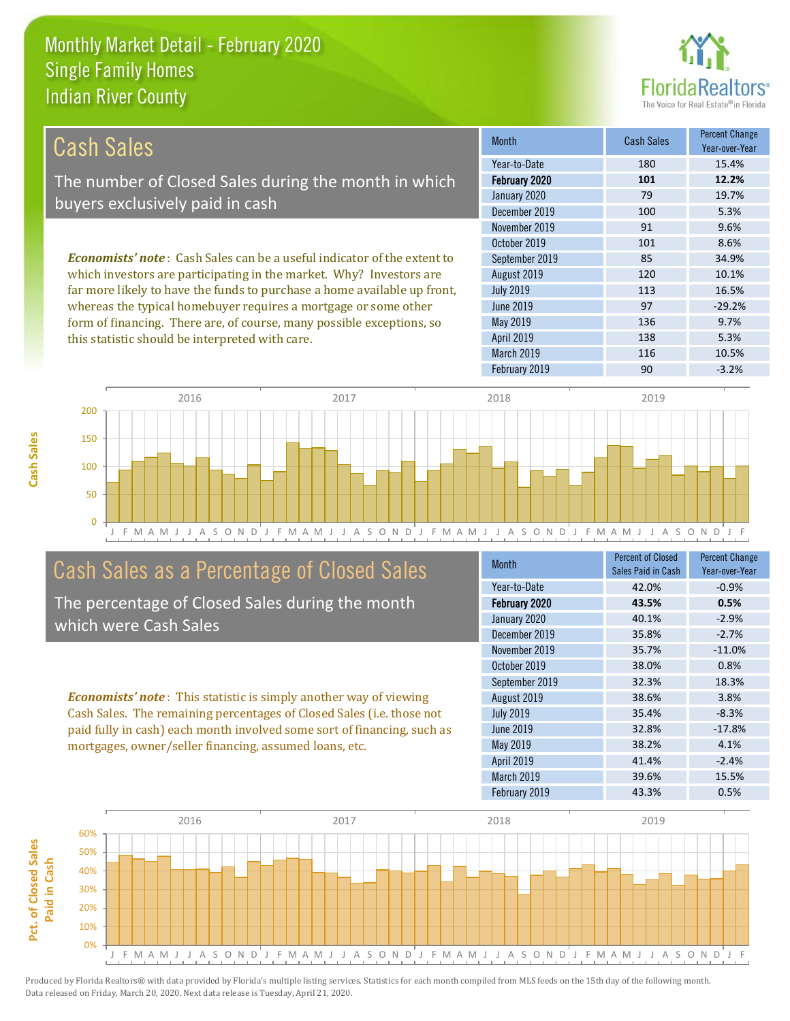this statistic should be interpreted with care.



138 5.3%

| Cash Sales                                                                     | <b>Month</b>     | <b>Cash Sales</b> | <b>Percent Change</b><br>Year-over-Year |
|--------------------------------------------------------------------------------|------------------|-------------------|-----------------------------------------|
|                                                                                | Year-to-Date     | 180               | 15.4%                                   |
| The number of Closed Sales during the month in which                           | February 2020    | 101               | 12.2%                                   |
| buyers exclusively paid in cash                                                | January 2020     | 79                | 19.7%                                   |
|                                                                                | December 2019    | 100               | 5.3%                                    |
|                                                                                | November 2019    | 91                | 9.6%                                    |
|                                                                                | October 2019     | 101               | 8.6%                                    |
| <b>Economists' note:</b> Cash Sales can be a useful indicator of the extent to | September 2019   | 85                | 34.9%                                   |
| which investors are participating in the market. Why? Investors are            | August 2019      | 120               | 10.1%                                   |
| far more likely to have the funds to purchase a home available up front,       | <b>July 2019</b> | 113               | 16.5%                                   |
| whereas the typical homebuyer requires a mortgage or some other                | June 2019        | 97                | $-29.2%$                                |
| form of financing. There are, of course, many possible exceptions, so          | May 2019         | 136               | 9.7%                                    |



# Cash Sales as a Percentage of Closed Sales

The percentage of Closed Sales during the month which were Cash Sales

*Economists' note* : This statistic is simply another way of viewing Cash Sales. The remaining percentages of Closed Sales (i.e. those not paid fully in cash) each month involved some sort of financing, such as mortgages, owner/seller financing, assumed loans, etc.

| <b>Month</b>     | <b>Percent of Closed</b><br>Sales Paid in Cash | <b>Percent Change</b><br>Year-over-Year |
|------------------|------------------------------------------------|-----------------------------------------|
| Year-to-Date     | 42.0%                                          | $-0.9%$                                 |
| February 2020    | 43.5%                                          | 0.5%                                    |
| January 2020     | 40.1%                                          | $-2.9%$                                 |
| December 2019    | 35.8%                                          | $-2.7%$                                 |
| November 2019    | 35.7%                                          | $-11.0%$                                |
| October 2019     | 38.0%                                          | 0.8%                                    |
| September 2019   | 32.3%                                          | 18.3%                                   |
| August 2019      | 38.6%                                          | 3.8%                                    |
| <b>July 2019</b> | 35.4%                                          | $-8.3%$                                 |
| June 2019        | 32.8%                                          | $-17.8%$                                |
| May 2019         | 38.2%                                          | 4.1%                                    |
| April 2019       | 41.4%                                          | $-2.4%$                                 |
| March 2019       | 39.6%                                          | 15.5%                                   |
| February 2019    | 43.3%                                          | 0.5%                                    |

March 2019 116 10.5%

April 2019

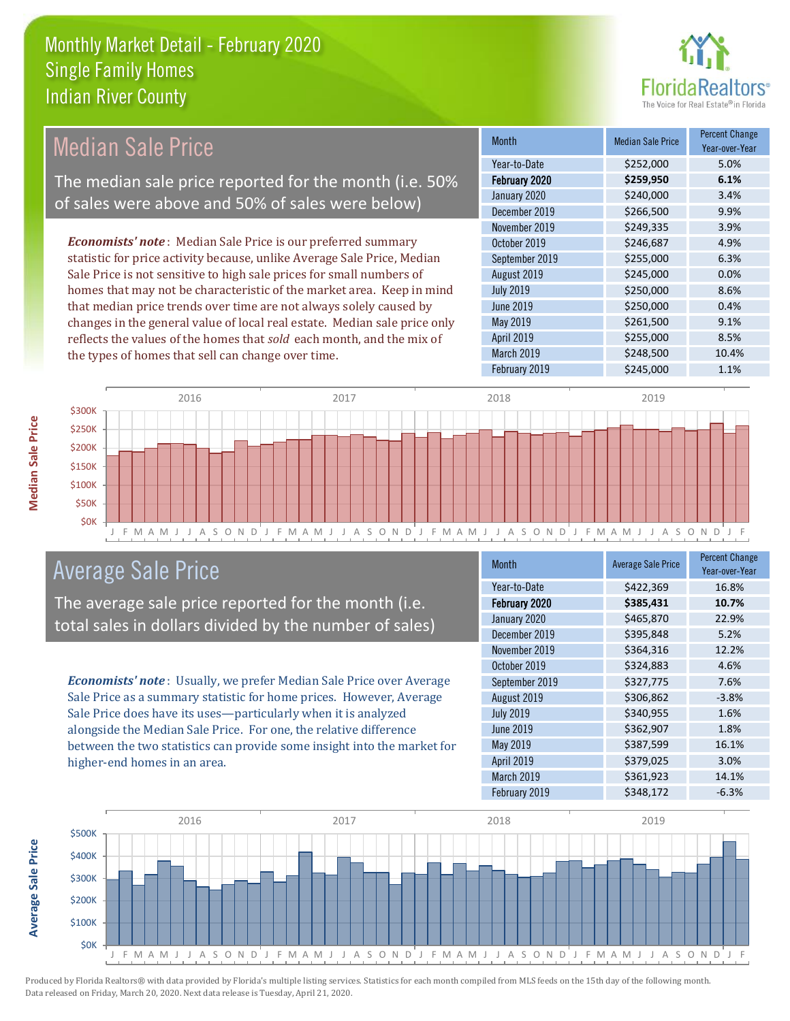

#### *Economists' note* : Median Sale Price is our preferred summary statistic for price activity because, unlike Average Sale Price, Median Sale Price is not sensitive to high sale prices for small numbers of homes that may not be characteristic of the market area. Keep in mind that median price trends over time are not always solely caused by changes in the general value of local real estate. Median sale price only reflects the values of the homes that *sold* each month, and the mix of the types of homes that sell can change over time. February 2019 \$245,000 1.1% April 2019 **\$255,000** \$255,000 March 2019 \$248,500 10.4% June 2019 **\$250,000 0.4%** May 2019 **\$261,500** \$261,500 9.1% \$249,335 3.9% October 2019 **\$246,687** 4.9% July 2019 **\$250,000** \$250,000 8.6% January 2020 \$240,000 \$240,000 3.4% December 2019 **\$266,500** 9.9% September 2019 **\$255,000** 6.3% August 2019 **\$245,000 0.0%** November 2019 Month Median Sale Price Percent Change Year-over-Year February 2020 **\$259,950 6.1%** Year-to-Date \$252,000 5.0% Median Sale Price The median sale price reported for the month (i.e. 50% of sales were above and 50% of sales were below)



## Average Sale Price

The average sale price reported for the month (i.e. total sales in dollars divided by the number of sales)

*Economists' note* : Usually, we prefer Median Sale Price over Average Sale Price as a summary statistic for home prices. However, Average Sale Price does have its uses—particularly when it is analyzed alongside the Median Sale Price. For one, the relative difference between the two statistics can provide some insight into the market for higher-end homes in an area.

| <b>Month</b>     | <b>Average Sale Price</b> | <b>Percent Change</b><br>Year-over-Year |
|------------------|---------------------------|-----------------------------------------|
| Year-to-Date     | \$422,369                 | 16.8%                                   |
| February 2020    | \$385,431                 | 10.7%                                   |
| January 2020     | \$465,870                 | 22.9%                                   |
| December 2019    | \$395,848                 | 5.2%                                    |
| November 2019    | \$364,316                 | 12.2%                                   |
| October 2019     | \$324,883                 | 4.6%                                    |
| September 2019   | \$327,775                 | 7.6%                                    |
| August 2019      | \$306,862                 | $-3.8%$                                 |
| <b>July 2019</b> | \$340,955                 | 1.6%                                    |
| June 2019        | \$362,907                 | 1.8%                                    |
| May 2019         | \$387,599                 | 16.1%                                   |
| April 2019       | \$379,025                 | 3.0%                                    |
| March 2019       | \$361,923                 | 14.1%                                   |
| February 2019    | \$348,172                 | $-6.3%$                                 |



Produced by Florida Realtors® with data provided by Florida's multiple listing services. Statistics for each month compiled from MLS feeds on the 15th day of the following month. Data released on Friday, March 20, 2020. Next data release is Tuesday, April 21, 2020.

**Average Sale Price**

**Average Sale Price**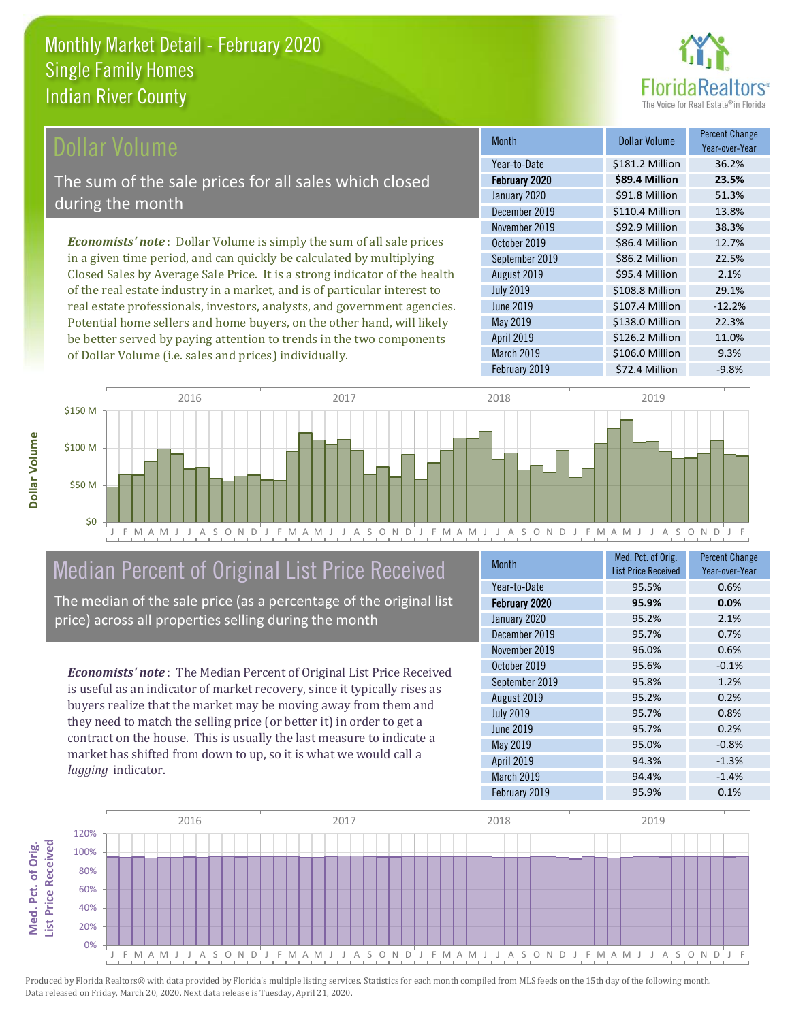

Year-over-Year

### Dollar Volume

The sum of the sale prices for all sales which closed during the month

*Economists' note* : Dollar Volume is simply the sum of all sale prices in a given time period, and can quickly be calculated by multiplying Closed Sales by Average Sale Price. It is a strong indicator of the health of the real estate industry in a market, and is of particular interest to real estate professionals, investors, analysts, and government agencies. Potential home sellers and home buyers, on the other hand, will likely be better served by paying attention to trends in the two components of Dollar Volume (i.e. sales and prices) individually.



# Median Percent of Original List Price Received

The median of the sale price (as a percentage of the original list price) across all properties selling during the month

*Economists' note* : The Median Percent of Original List Price Received is useful as an indicator of market recovery, since it typically rises as buyers realize that the market may be moving away from them and they need to match the selling price (or better it) in order to get a contract on the house. This is usually the last measure to indicate a market has shifted from down to up, so it is what we would call a *lagging* indicator.

| <b>Month</b>     | Med. Pct. of Orig.<br><b>List Price Received</b> | <b>Percent Change</b><br>Year-over-Year |
|------------------|--------------------------------------------------|-----------------------------------------|
| Year-to-Date     | 95.5%                                            | 0.6%                                    |
| February 2020    | 95.9%                                            | 0.0%                                    |
| January 2020     | 95.2%                                            | 2.1%                                    |
| December 2019    | 95.7%                                            | 0.7%                                    |
| November 2019    | 96.0%                                            | 0.6%                                    |
| October 2019     | 95.6%                                            | $-0.1%$                                 |
| September 2019   | 95.8%                                            | 1.2%                                    |
| August 2019      | 95.2%                                            | 0.2%                                    |
| <b>July 2019</b> | 95.7%                                            | 0.8%                                    |
| June 2019        | 95.7%                                            | 0.2%                                    |
| May 2019         | 95.0%                                            | $-0.8%$                                 |
| April 2019       | 94.3%                                            | $-1.3%$                                 |
| March 2019       | 94.4%                                            | $-1.4%$                                 |
| February 2019    | 95.9%                                            | 0.1%                                    |

June 2019 **\$107.4 Million** -12.2%

November 2019 **\$92.9 Million** 38.3% October 2019 **\$86.4 Million** 12.7% September 2019 **\$86.2 Million** 22.5% August 2019 **\$95.4 Million 2.1%** July 2019 **\$108.8 Million** 29.1%

January 2020 \$91.8 Million 51.3% December 2019 **\$110.4 Million** 13.8%

February 2020 **\$89.4 Million 23.5%** Year-to-Date \$181.2 Million 36.2%

Month **Dollar Volume** Percent Change

March 2019 **\$106.0 Million** 9.3%

February 2019 **\$72.4 Million** -9.8%

\$126.2 Million 11.0%

\$138.0 Million 22.3%

May 2019

April 2019

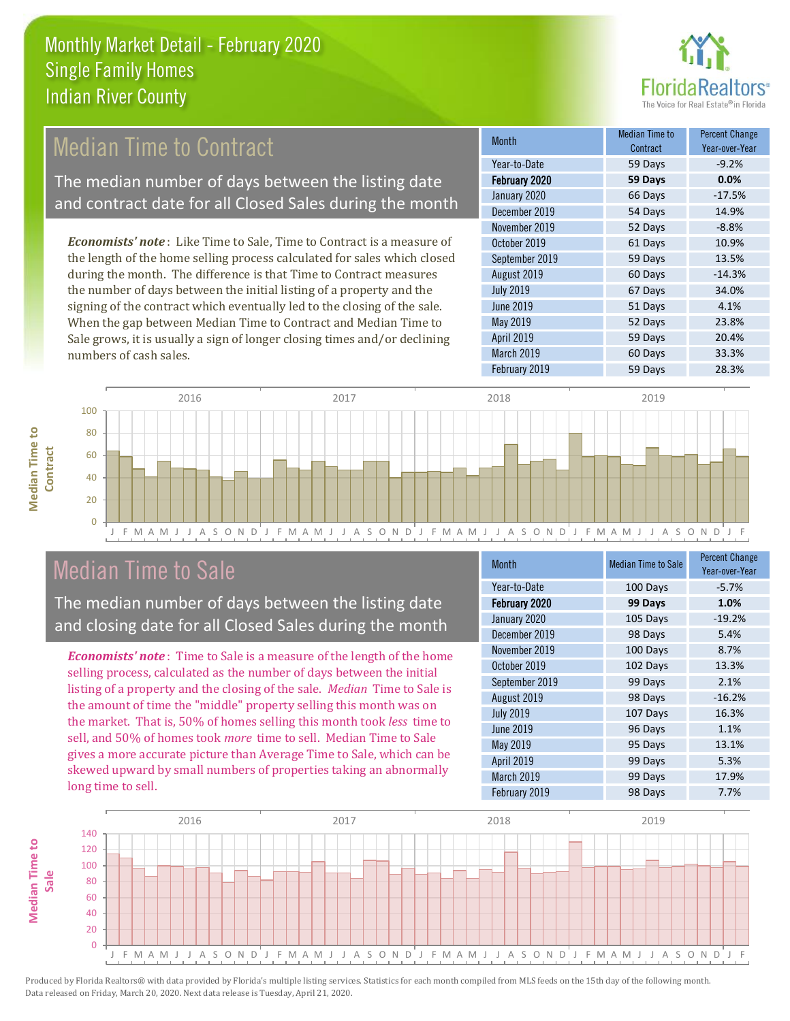

# **Median Time to Contract**

The median number of days between the listing date and contract date for all Closed Sales during the month

*Economists' note* : Like Time to Sale, Time to Contract is a measure of the length of the home selling process calculated for sales which closed during the month. The difference is that Time to Contract measures the number of days between the initial listing of a property and the signing of the contract which eventually led to the closing of the sale. When the gap between Median Time to Contract and Median Time to Sale grows, it is usually a sign of longer closing times and/or declining numbers of cash sales.

| <b>Month</b>     | Median Time to<br>Contract | <b>Percent Change</b><br>Year-over-Year |
|------------------|----------------------------|-----------------------------------------|
| Year-to-Date     | 59 Days                    | $-9.2%$                                 |
| February 2020    | 59 Days                    | 0.0%                                    |
| January 2020     | 66 Days                    | $-17.5%$                                |
| December 2019    | 54 Days                    | 14.9%                                   |
| November 2019    | 52 Days                    | $-8.8%$                                 |
| October 2019     | 61 Days                    | 10.9%                                   |
| September 2019   | 59 Days                    | 13.5%                                   |
| August 2019      | 60 Days                    | $-14.3%$                                |
| <b>July 2019</b> | 67 Days                    | 34.0%                                   |
| <b>June 2019</b> | 51 Days                    | 4.1%                                    |
| May 2019         | 52 Days                    | 23.8%                                   |
| April 2019       | 59 Days                    | 20.4%                                   |
| March 2019       | 60 Days                    | 33.3%                                   |
| February 2019    | 59 Days                    | 28.3%                                   |





# Median Time to Sale

The median number of days between the listing date and closing date for all Closed Sales during the month

*Economists' note* : Time to Sale is a measure of the length of the home selling process, calculated as the number of days between the initial listing of a property and the closing of the sale. *Median* Time to Sale is the amount of time the "middle" property selling this month was on the market. That is, 50% of homes selling this month took *less* time to sell, and 50% of homes took *more* time to sell. Median Time to Sale gives a more accurate picture than Average Time to Sale, which can be skewed upward by small numbers of properties taking an abnormally long time to sell.

| <b>Month</b>     | <b>Median Time to Sale</b> | <b>Percent Change</b><br>Year-over-Year |
|------------------|----------------------------|-----------------------------------------|
| Year-to-Date     | 100 Days                   | $-5.7%$                                 |
| February 2020    | 99 Days                    | 1.0%                                    |
| January 2020     | 105 Days                   | $-19.2%$                                |
| December 2019    | 98 Days                    | 5.4%                                    |
| November 2019    | 100 Days                   | 8.7%                                    |
| October 2019     | 102 Days                   | 13.3%                                   |
| September 2019   | 99 Days                    | 2.1%                                    |
| August 2019      | 98 Days                    | $-16.2%$                                |
| <b>July 2019</b> | 107 Days                   | 16.3%                                   |
| <b>June 2019</b> | 96 Days                    | 1.1%                                    |
| May 2019         | 95 Days                    | 13.1%                                   |
| April 2019       | 99 Days                    | 5.3%                                    |
| March 2019       | 99 Days                    | 17.9%                                   |
| February 2019    | 98 Days                    | 7.7%                                    |

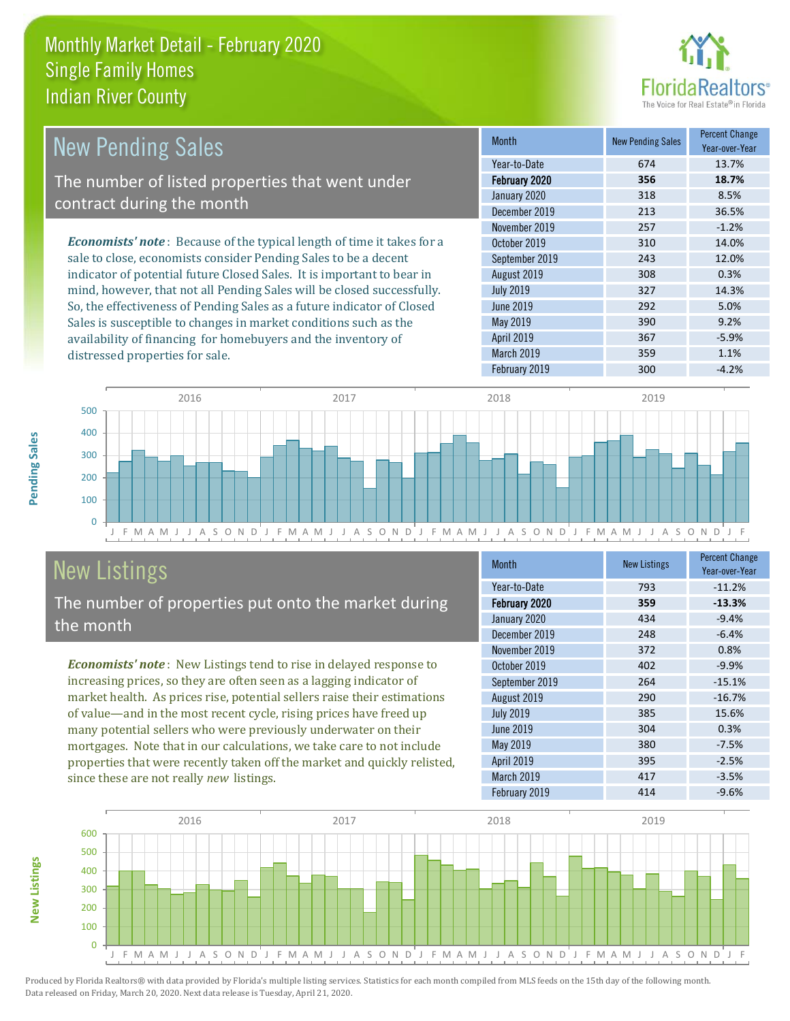

| <b>New Pending Sales</b>                                                      | <b>Month</b>     | <b>New Pending Sales</b> | <b>Percent Change</b><br>Year-over-Year |
|-------------------------------------------------------------------------------|------------------|--------------------------|-----------------------------------------|
|                                                                               | Year-to-Date     | 674                      | 13.7%                                   |
| The number of listed properties that went under                               | February 2020    | 356                      | 18.7%                                   |
| contract during the month                                                     | January 2020     | 318                      | 8.5%                                    |
|                                                                               | December 2019    | 213                      | 36.5%                                   |
|                                                                               | November 2019    | 257                      | $-1.2%$                                 |
| <b>Economists' note:</b> Because of the typical length of time it takes for a | October 2019     | 310                      | 14.0%                                   |
| sale to close, economists consider Pending Sales to be a decent               | September 2019   | 243                      | 12.0%                                   |
| indicator of potential future Closed Sales. It is important to bear in        | August 2019      | 308                      | 0.3%                                    |
| mind, however, that not all Pending Sales will be closed successfully.        | <b>July 2019</b> | 327                      | 14.3%                                   |
| So, the effectiveness of Pending Sales as a future indicator of Closed        | June 2019        | 292                      | 5.0%                                    |
| Sales is susceptible to changes in market conditions such as the              | May 2019         | 390                      | 9.2%                                    |

J F M A M J J A S O N D J F M A M J J A S O N D J F M A M J J A S O N D J F M A M J J A S O N D J F  $\overline{0}$ 100 200 300 400 500 2016 2017 2018 2019

# New Listings

distressed properties for sale.

The number of properties put onto the market during the month

availability of financing for homebuyers and the inventory of

*Economists' note* : New Listings tend to rise in delayed response to increasing prices, so they are often seen as a lagging indicator of market health. As prices rise, potential sellers raise their estimations of value—and in the most recent cycle, rising prices have freed up many potential sellers who were previously underwater on their mortgages. Note that in our calculations, we take care to not include properties that were recently taken off the market and quickly relisted, since these are not really *new* listings.

| <b>Month</b>     | <b>New Listings</b> | <b>Percent Change</b><br>Year-over-Year |
|------------------|---------------------|-----------------------------------------|
| Year-to-Date     | 793                 | $-11.2%$                                |
| February 2020    | 359                 | $-13.3%$                                |
| January 2020     | 434                 | $-9.4%$                                 |
| December 2019    | 248                 | $-6.4%$                                 |
| November 2019    | 372                 | 0.8%                                    |
| October 2019     | 402                 | $-9.9%$                                 |
| September 2019   | 264                 | $-15.1%$                                |
| August 2019      | 290                 | $-16.7%$                                |
| <b>July 2019</b> | 385                 | 15.6%                                   |
| June 2019        | 304                 | 0.3%                                    |
| May 2019         | 380                 | $-7.5%$                                 |
| April 2019       | 395                 | $-2.5%$                                 |
| March 2019       | 417                 | $-3.5%$                                 |
| February 2019    | 414                 | $-9.6%$                                 |

February 2019 **300** -4.2%

April 2019 **367** -5.9% March 2019 359 1.1%



**New Listings**

Produced by Florida Realtors® with data provided by Florida's multiple listing services. Statistics for each month compiled from MLS feeds on the 15th day of the following month. Data released on Friday, March 20, 2020. Next data release is Tuesday, April 21, 2020.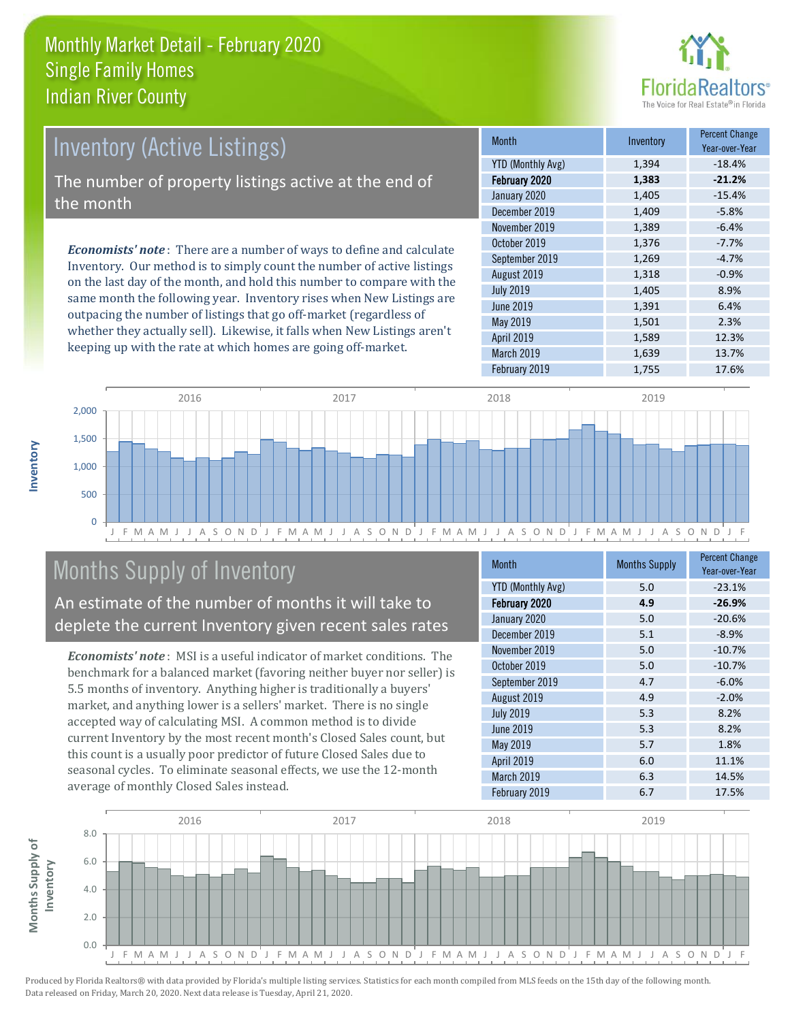

# Inventory (Active Listings)

The number of property listings active at the end of the month

*Economists' note* : There are a number of ways to define and calculate Inventory. Our method is to simply count the number of active listings on the last day of the month, and hold this number to compare with the same month the following year. Inventory rises when New Listings are outpacing the number of listings that go off-market (regardless of whether they actually sell). Likewise, it falls when New Listings aren't keeping up with the rate at which homes are going off-market.

| <b>Month</b>             | Inventory | <b>Percent Change</b><br>Year-over-Year |
|--------------------------|-----------|-----------------------------------------|
| <b>YTD (Monthly Avg)</b> | 1,394     | $-18.4%$                                |
| February 2020            | 1,383     | $-21.2%$                                |
| January 2020             | 1,405     | $-15.4%$                                |
| December 2019            | 1,409     | $-5.8%$                                 |
| November 2019            | 1,389     | $-6.4%$                                 |
| October 2019             | 1,376     | $-7.7%$                                 |
| September 2019           | 1,269     | $-4.7%$                                 |
| August 2019              | 1,318     | $-0.9%$                                 |
| <b>July 2019</b>         | 1,405     | 8.9%                                    |
| <b>June 2019</b>         | 1,391     | 6.4%                                    |
| May 2019                 | 1,501     | 2.3%                                    |
| <b>April 2019</b>        | 1,589     | 12.3%                                   |
| March 2019               | 1,639     | 13.7%                                   |
| February 2019            | 1,755     | 17.6%                                   |



# Months Supply of Inventory

An estimate of the number of months it will take to deplete the current Inventory given recent sales rates

*Economists' note* : MSI is a useful indicator of market conditions. The benchmark for a balanced market (favoring neither buyer nor seller) is 5.5 months of inventory. Anything higher is traditionally a buyers' market, and anything lower is a sellers' market. There is no single accepted way of calculating MSI. A common method is to divide current Inventory by the most recent month's Closed Sales count, but this count is a usually poor predictor of future Closed Sales due to seasonal cycles. To eliminate seasonal effects, we use the 12-month average of monthly Closed Sales instead.

| <b>Month</b>             | <b>Months Supply</b> | <b>Percent Change</b><br>Year-over-Year |
|--------------------------|----------------------|-----------------------------------------|
| <b>YTD (Monthly Avg)</b> | 5.0                  | $-23.1%$                                |
| February 2020            | 4.9                  | $-26.9%$                                |
| January 2020             | 5.0                  | $-20.6%$                                |
| December 2019            | 5.1                  | $-8.9%$                                 |
| November 2019            | 5.0                  | $-10.7%$                                |
| October 2019             | 5.0                  | $-10.7%$                                |
| September 2019           | 4.7                  | $-6.0%$                                 |
| August 2019              | 4.9                  | $-2.0%$                                 |
| <b>July 2019</b>         | 5.3                  | 8.2%                                    |
| <b>June 2019</b>         | 5.3                  | 8.2%                                    |
| May 2019                 | 5.7                  | 1.8%                                    |
| April 2019               | 6.0                  | 11.1%                                   |
| March 2019               | 6.3                  | 14.5%                                   |
| February 2019            | 6.7                  | 17.5%                                   |

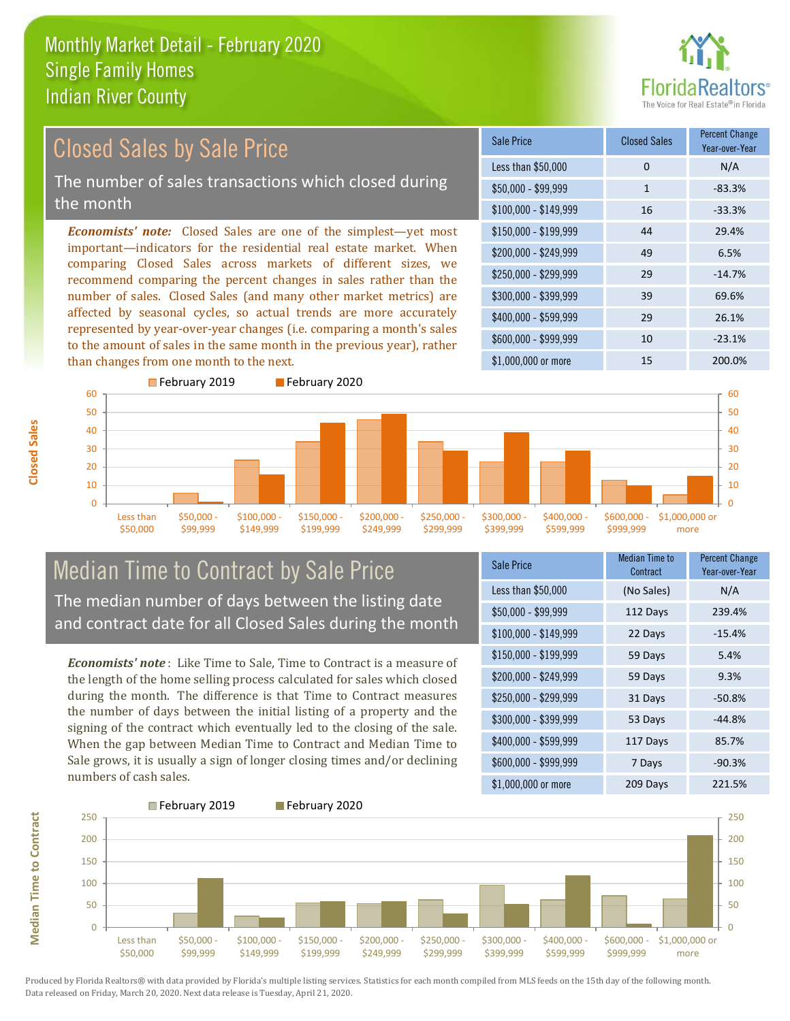

#### $$100,000 - $149,999$  16 -33.3% Sale Price Closed Sales Percent Change Year-over-Year Less than \$50,000 0 0 N/A  $$50,000 - $99,999$  1 -83.3% \$150,000 - \$199,999 44 29.4% \$200,000 - \$249,999 49 6.5% \$400,000 - \$599,999 29 26.1% \$600,000 - \$999,999 10 -23.1% *Economists' note:* Closed Sales are one of the simplest—yet most important—indicators for the residential real estate market. When comparing Closed Sales across markets of different sizes, we recommend comparing the percent changes in sales rather than the number of sales. Closed Sales (and many other market metrics) are affected by seasonal cycles, so actual trends are more accurately represented by year-over-year changes (i.e. comparing a month's sales to the amount of sales in the same month in the previous year), rather than changes from one month to the next. \$1,000,000 or more 15 15 200,0%  $$250,000 - $299,999$  29 -14.7% \$300,000 - \$399,999 39 69.6% February 2019 February 2020 Closed Sales by Sale Price The number of sales transactions which closed during the month



### Median Time to Contract by Sale Price The median number of days between the listing date and contract date for all Closed Sales during the month

*Economists' note* : Like Time to Sale, Time to Contract is a measure of the length of the home selling process calculated for sales which closed during the month. The difference is that Time to Contract measures the number of days between the initial listing of a property and the signing of the contract which eventually led to the closing of the sale. When the gap between Median Time to Contract and Median Time to Sale grows, it is usually a sign of longer closing times and/or declining numbers of cash sales.

| <b>Sale Price</b>     | <b>Median Time to</b><br>Contract | <b>Percent Change</b><br>Year-over-Year |
|-----------------------|-----------------------------------|-----------------------------------------|
| Less than \$50,000    | (No Sales)                        | N/A                                     |
| $$50,000 - $99,999$   | 112 Days                          | 239.4%                                  |
| $$100,000 - $149,999$ | 22 Days                           | $-15.4%$                                |
| $$150,000 - $199,999$ | 59 Days                           | 5.4%                                    |
| \$200,000 - \$249,999 | 59 Days                           | 9.3%                                    |
| \$250,000 - \$299,999 | 31 Days                           | $-50.8%$                                |
| \$300,000 - \$399,999 | 53 Days                           | $-44.8%$                                |
| \$400,000 - \$599,999 | 117 Days                          | 85.7%                                   |
| \$600,000 - \$999,999 | 7 Days                            | $-90.3%$                                |
| \$1,000,000 or more   | 209 Days                          | 221.5%                                  |

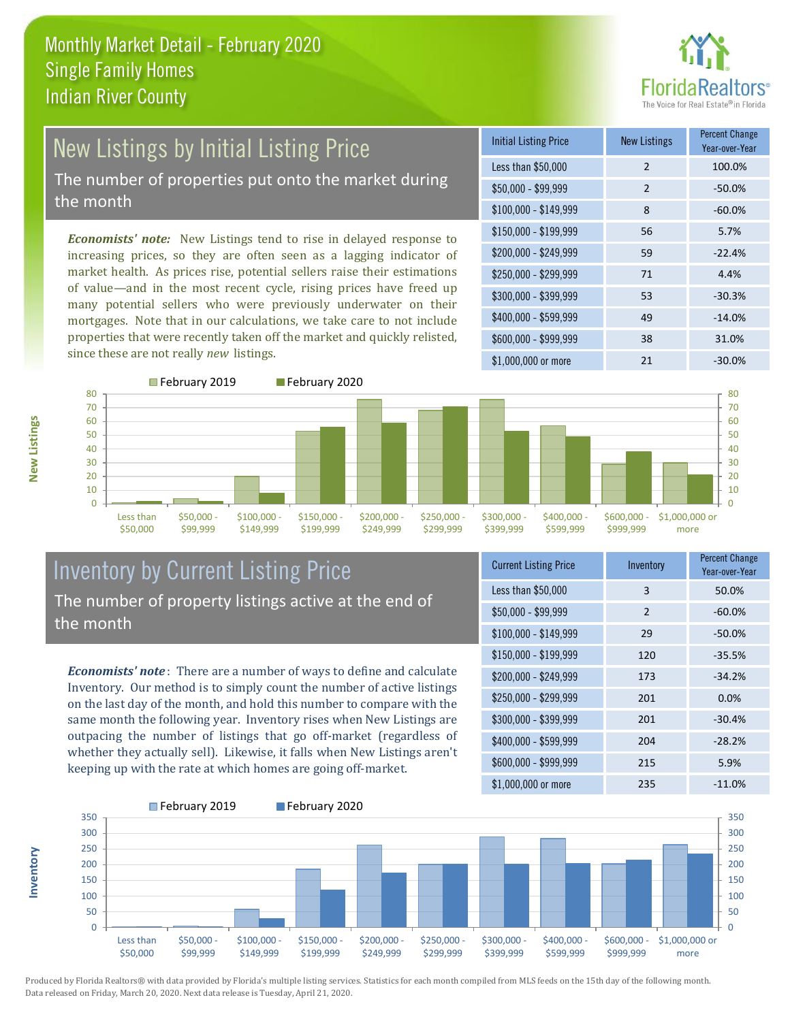

# New Listings by Initial Listing Price The number of properties put onto the market during

the month

*Economists' note:* New Listings tend to rise in delayed response to increasing prices, so they are often seen as a lagging indicator of market health. As prices rise, potential sellers raise their estimations of value—and in the most recent cycle, rising prices have freed up many potential sellers who were previously underwater on their mortgages. Note that in our calculations, we take care to not include properties that were recently taken off the market and quickly relisted, since these are not really *new* listings.

| <b>Initial Listing Price</b> | <b>New Listings</b> | <b>Percent Change</b><br>Year-over-Year |
|------------------------------|---------------------|-----------------------------------------|
| Less than \$50,000           | $\overline{2}$      | 100.0%                                  |
| $$50,000 - $99,999$          | $\overline{2}$      | $-50.0%$                                |
| $$100,000 - $149,999$        | 8                   | $-60.0%$                                |
| $$150,000 - $199,999$        | 56                  | 5.7%                                    |
| $$200,000 - $249,999$        | 59                  | $-22.4%$                                |
| \$250,000 - \$299,999        | 71                  | 4.4%                                    |
| \$300,000 - \$399,999        | 53                  | $-30.3%$                                |
| \$400,000 - \$599,999        | 49                  | $-14.0%$                                |
| \$600,000 - \$999,999        | 38                  | 31.0%                                   |
| $$1,000,000$ or more         | 21                  | $-30.0%$                                |



#### Inventory by Current Listing Price The number of property listings active at the end of the month

*Economists' note* : There are a number of ways to define and calculate Inventory. Our method is to simply count the number of active listings on the last day of the month, and hold this number to compare with the same month the following year. Inventory rises when New Listings are outpacing the number of listings that go off-market (regardless of whether they actually sell). Likewise, it falls when New Listings aren't keeping up with the rate at which homes are going off-market.

| <b>Current Listing Price</b> | Inventory      | <b>Percent Change</b><br>Year-over-Year |
|------------------------------|----------------|-----------------------------------------|
| Less than \$50,000           | 3              | 50.0%                                   |
| $$50,000 - $99,999$          | $\overline{2}$ | $-60.0%$                                |
| $$100,000 - $149,999$        | 29             | $-50.0%$                                |
| $$150,000 - $199,999$        | 120            | $-35.5%$                                |
| \$200,000 - \$249,999        | 173            | $-34.2%$                                |
| \$250,000 - \$299,999        | 201            | 0.0%                                    |
| \$300,000 - \$399,999        | 201            | $-30.4%$                                |
| \$400,000 - \$599,999        | 204            | $-28.2%$                                |
| \$600,000 - \$999,999        | 215            | 5.9%                                    |
| \$1,000,000 or more          | 235            | $-11.0%$                                |



Produced by Florida Realtors® with data provided by Florida's multiple listing services. Statistics for each month compiled from MLS feeds on the 15th day of the following month. Data released on Friday, March 20, 2020. Next data release is Tuesday, April 21, 2020.

**Inventory**